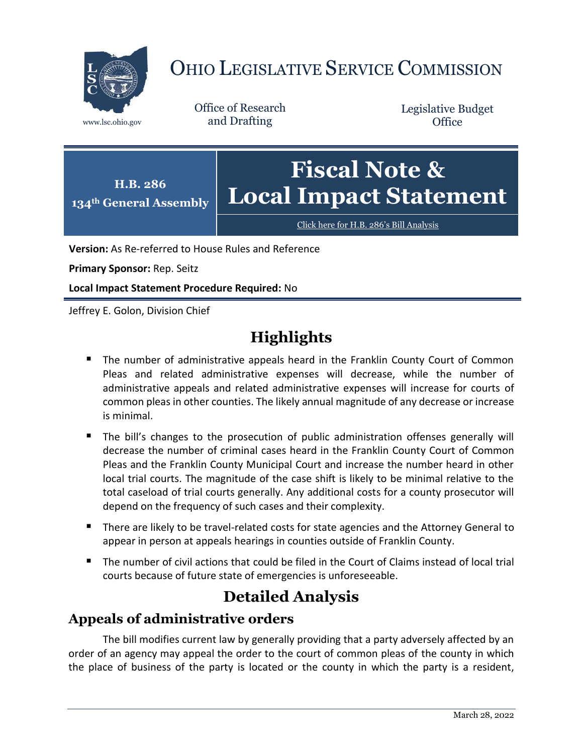

# OHIO LEGISLATIVE SERVICE COMMISSION

Office of Research www.lsc.ohio.gov and Drafting

Legislative Budget **Office** 



[Click here for H.B. 286](https://www.legislature.ohio.gov/legislation/legislation-documents?id=GA134-HB-286)'s Bill Analysis

**Version:** As Re-referred to House Rules and Reference

**Primary Sponsor:** Rep. Seitz

**Local Impact Statement Procedure Required:** No

Jeffrey E. Golon, Division Chief

# **Highlights**

- **The number of administrative appeals heard in the Franklin County Court of Common** Pleas and related administrative expenses will decrease, while the number of administrative appeals and related administrative expenses will increase for courts of common pleas in other counties. The likely annual magnitude of any decrease or increase is minimal.
- The bill's changes to the prosecution of public administration offenses generally will decrease the number of criminal cases heard in the Franklin County Court of Common Pleas and the Franklin County Municipal Court and increase the number heard in other local trial courts. The magnitude of the case shift is likely to be minimal relative to the total caseload of trial courts generally. Any additional costs for a county prosecutor will depend on the frequency of such cases and their complexity.
- There are likely to be travel-related costs for state agencies and the Attorney General to appear in person at appeals hearings in counties outside of Franklin County.
- The number of civil actions that could be filed in the Court of Claims instead of local trial courts because of future state of emergencies is unforeseeable.

# **Detailed Analysis**

## **Appeals of administrative orders**

The bill modifies current law by generally providing that a party adversely affected by an order of an agency may appeal the order to the court of common pleas of the county in which the place of business of the party is located or the county in which the party is a resident,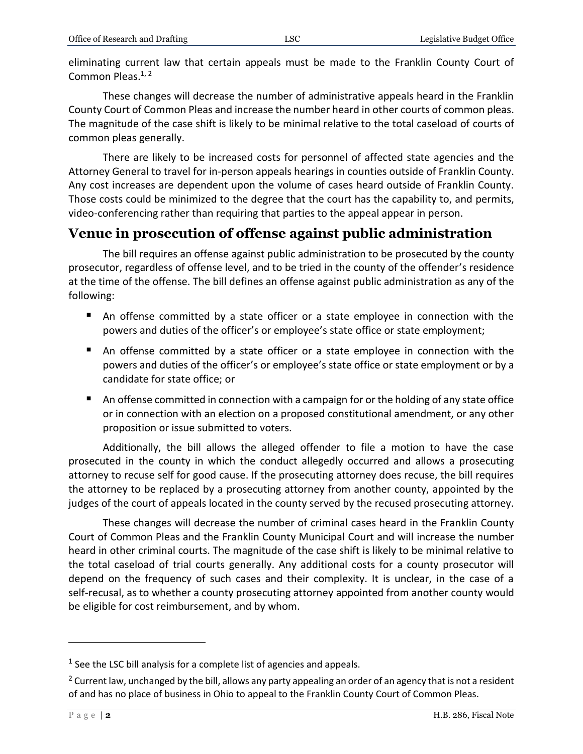eliminating current law that certain appeals must be made to the Franklin County Court of Common Pleas.<sup>1, 2</sup>

These changes will decrease the number of administrative appeals heard in the Franklin County Court of Common Pleas and increase the number heard in other courts of common pleas. The magnitude of the case shift is likely to be minimal relative to the total caseload of courts of common pleas generally.

There are likely to be increased costs for personnel of affected state agencies and the Attorney General to travel for in-person appeals hearings in counties outside of Franklin County. Any cost increases are dependent upon the volume of cases heard outside of Franklin County. Those costs could be minimized to the degree that the court has the capability to, and permits, video-conferencing rather than requiring that parties to the appeal appear in person.

#### **Venue in prosecution of offense against public administration**

The bill requires an offense against public administration to be prosecuted by the county prosecutor, regardless of offense level, and to be tried in the county of the offender's residence at the time of the offense. The bill defines an offense against public administration as any of the following:

- An offense committed by a state officer or a state employee in connection with the powers and duties of the officer's or employee's state office or state employment;
- An offense committed by a state officer or a state employee in connection with the powers and duties of the officer's or employee's state office or state employment or by a candidate for state office; or
- An offense committed in connection with a campaign for or the holding of any state office or in connection with an election on a proposed constitutional amendment, or any other proposition or issue submitted to voters.

Additionally, the bill allows the alleged offender to file a motion to have the case prosecuted in the county in which the conduct allegedly occurred and allows a prosecuting attorney to recuse self for good cause. If the prosecuting attorney does recuse, the bill requires the attorney to be replaced by a prosecuting attorney from another county, appointed by the judges of the court of appeals located in the county served by the recused prosecuting attorney.

These changes will decrease the number of criminal cases heard in the Franklin County Court of Common Pleas and the Franklin County Municipal Court and will increase the number heard in other criminal courts. The magnitude of the case shift is likely to be minimal relative to the total caseload of trial courts generally. Any additional costs for a county prosecutor will depend on the frequency of such cases and their complexity. It is unclear, in the case of a self-recusal, as to whether a county prosecuting attorney appointed from another county would be eligible for cost reimbursement, and by whom.

 $\overline{a}$ 

 $<sup>1</sup>$  See the LSC bill analysis for a complete list of agencies and appeals.</sup>

<sup>&</sup>lt;sup>2</sup> Current law, unchanged by the bill, allows any party appealing an order of an agency that is not a resident of and has no place of business in Ohio to appeal to the Franklin County Court of Common Pleas.